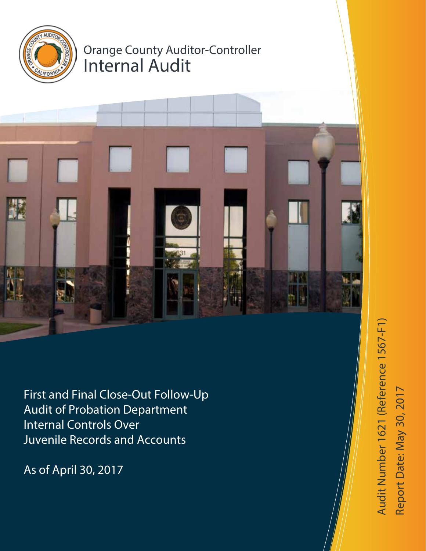

# Orange County Auditor-Controller Internal Audit



First and Final Close-Out Follow-Up Audit of Probation Department Internal Controls Over Juvenile Records and Accounts

As of April 30, 2017

Audit Number 1621 (Reference 1567-F1) Audit Number 1621 (Reference 1567-F1) te: May 30, 2017 Report D a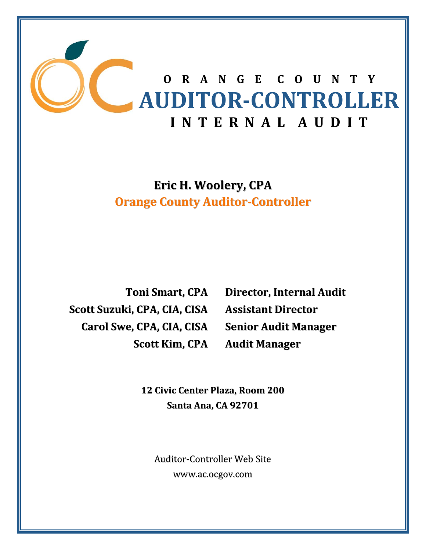

**Eric H. Woolery, CPA Orange County Auditor‐Controller**

**Toni Smart, CPA Scott Suzuki, CPA, CIA, CISA Carol Swe, CPA, CIA, CISA Scott Kim, CPA**

**Director, Internal Audit Assistant Director Senior Audit Manager Audit Manager**

 **12 Civic Center Plaza, Room 200 Santa Ana, CA 92701**

Auditor‐Controller Web Site www.ac.ocgov.com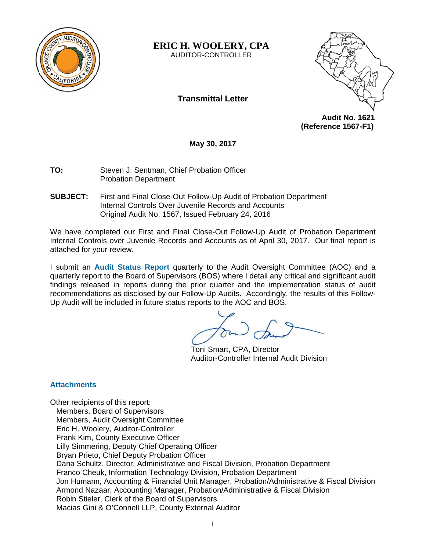

**ERIC H. WOOLERY, CPA** 

AUDITOR-CONTROLLER

# **Transmittal Letter**



 **Audit No. 1621 (Reference 1567-F1)** 

**May 30, 2017** 

**TO:** Steven J. Sentman, Chief Probation Officer Probation Department

**SUBJECT:** First and Final Close-Out Follow-Up Audit of Probation Department Internal Controls Over Juvenile Records and Accounts Original Audit No. 1567, Issued February 24, 2016

We have completed our First and Final Close-Out Follow-Up Audit of Probation Department Internal Controls over Juvenile Records and Accounts as of April 30, 2017. Our final report is attached for your review.

I submit an **Audit Status Report** quarterly to the Audit Oversight Committee (AOC) and a quarterly report to the Board of Supervisors (BOS) where I detail any critical and significant audit findings released in reports during the prior quarter and the implementation status of audit recommendations as disclosed by our Follow-Up Audits. Accordingly, the results of this Follow-Up Audit will be included in future status reports to the AOC and BOS.

Toni Smart, CPA, Director Auditor-Controller Internal Audit Division

## **Attachments**

Other recipients of this report: Members, Board of Supervisors Members, Audit Oversight Committee Eric H. Woolery, Auditor-Controller Frank Kim, County Executive Officer Lilly Simmering, Deputy Chief Operating Officer Bryan Prieto, Chief Deputy Probation Officer Dana Schultz, Director, Administrative and Fiscal Division, Probation Department Franco Cheuk, Information Technology Division, Probation Department Jon Humann, Accounting & Financial Unit Manager, Probation/Administrative & Fiscal Division Armond Nazaar, Accounting Manager, Probation/Administrative & Fiscal Division Robin Stieler, Clerk of the Board of Supervisors Macias Gini & O'Connell LLP, County External Auditor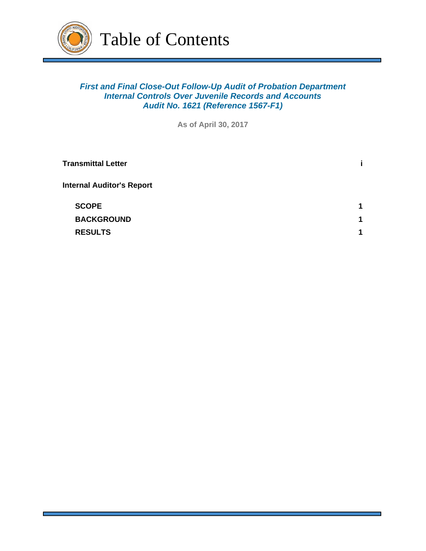

# *First and Final Close-Out Follow-Up Audit of Probation Department Internal Controls Over Juvenile Records and Accounts Audit No. 1621 (Reference 1567-F1)*

**As of April 30, 2017**

| <b>Transmittal Letter</b>        |             |
|----------------------------------|-------------|
| <b>Internal Auditor's Report</b> |             |
| <b>SCOPE</b>                     | 1           |
| <b>BACKGROUND</b>                | $\mathbf 1$ |
| <b>RESULTS</b>                   | 1           |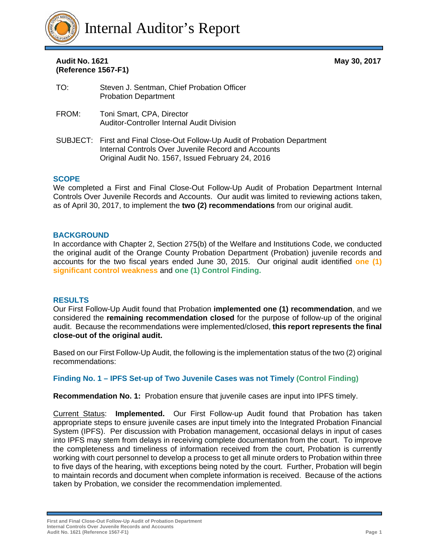

# **(Reference 1567-F1)**  Audit No. 1621

**May 30, 2017** 

- TO: Steven J. Sentman, Chief Probation Officer Probation Department
- FROM: Toni Smart, CPA, Director Auditor-Controller Internal Audit Division
- SUBJECT: First and Final Close-Out Follow-Up Audit of Probation Department Internal Controls Over Juvenile Record and Accounts Original Audit No. 1567, Issued February 24, 2016

#### **SCOPE**

We completed a First and Final Close-Out Follow-Up Audit of Probation Department Internal Controls Over Juvenile Records and Accounts. Our audit was limited to reviewing actions taken, as of April 30, 2017, to implement the **two (2) recommendations** from our original audit.

#### **BACKGROUND**

In accordance with Chapter 2, Section 275(b) of the Welfare and Institutions Code, we conducted the original audit of the Orange County Probation Department (Probation) juvenile records and accounts for the two fiscal years ended June 30, 2015. Our original audit identified **one (1) significant control weakness** and **one (1) Control Finding.** 

#### **RESULTS**

Our First Follow-Up Audit found that Probation **implemented one (1) recommendation**, and we considered the **remaining recommendation closed** for the purpose of follow-up of the original audit. Because the recommendations were implemented/closed, **this report represents the final close-out of the original audit.**

Based on our First Follow-Up Audit, the following is the implementation status of the two (2) original recommendations:

## **Finding No. 1 – IPFS Set-up of Two Juvenile Cases was not Timely (Control Finding)**

**Recommendation No. 1:** Probation ensure that juvenile cases are input into IPFS timely.

Current Status: **Implemented.** Our First Follow-up Audit found that Probation has taken appropriate steps to ensure juvenile cases are input timely into the Integrated Probation Financial System (IPFS). Per discussion with Probation management, occasional delays in input of cases into IPFS may stem from delays in receiving complete documentation from the court. To improve the completeness and timeliness of information received from the court, Probation is currently working with court personnel to develop a process to get all minute orders to Probation within three to five days of the hearing, with exceptions being noted by the court. Further, Probation will begin to maintain records and document when complete information is received. Because of the actions taken by Probation, we consider the recommendation implemented.